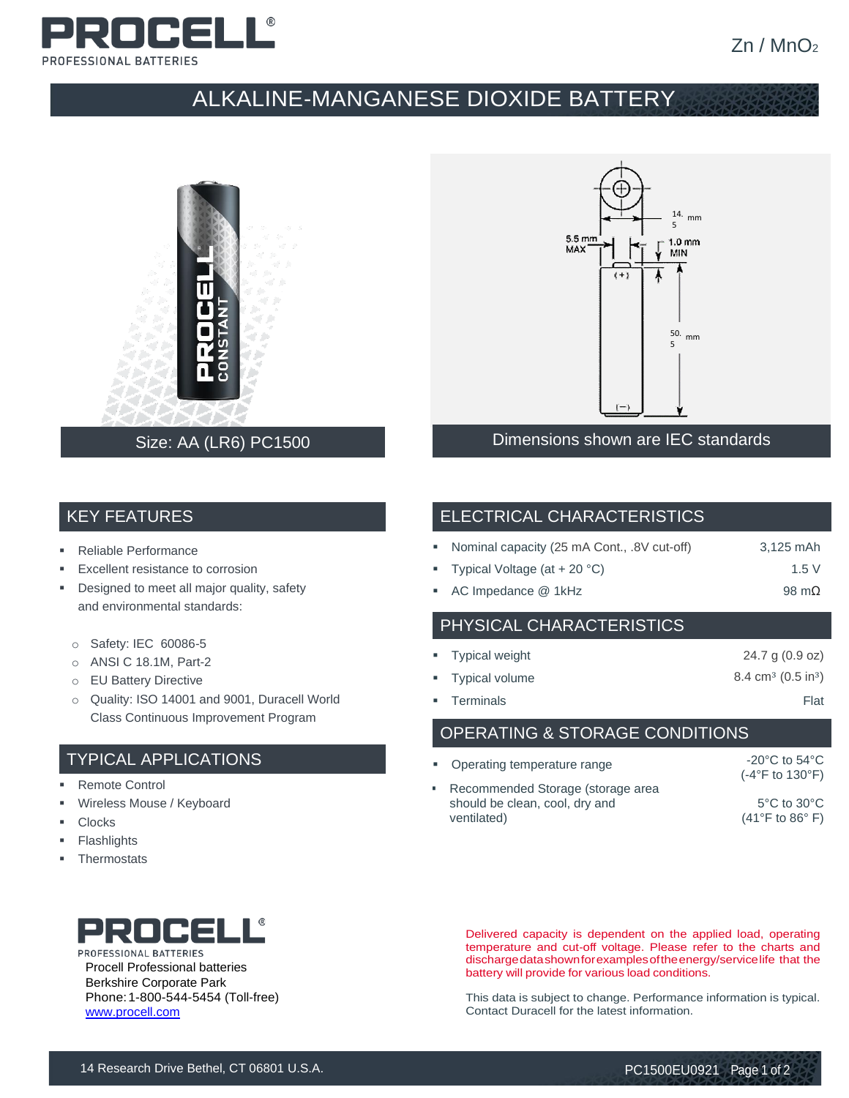

# ALKALINE-MANGANESE DIOXIDE BATTERY



### Size: AA (LR6) PC1500



Dimensions shown are IEC standards

### KEY FEATURES

- Reliable Performance
- Excellent resistance to corrosion
- **•** Designed to meet all major quality, safety and environmental standards:
	- o Safety: IEC 60086-5
	- o ANSI C 18.1M, Part-2
	- o EU Battery Directive
	- o Quality: ISO 14001 and 9001, Duracell World Class Continuous Improvement Program

### TYPICAL APPLICATIONS

- Remote Control
- Wireless Mouse / Keyboard
- **Clocks**
- **Flashlights**
- **Thermostats**



|  |  | • Nominal capacity (25 mA Cont., .8V cut-off) | 3,125 mAh |
|--|--|-----------------------------------------------|-----------|
|--|--|-----------------------------------------------|-----------|

- Typical Voltage  $(at + 20 °C)$  1.5 V
- AC Impedance @ 1kHz 98 mΩ

### PHYSICAL CHARACTERISTICS

| • Typical weight | 24.7 g $(0.9 \text{ oz})$               |
|------------------|-----------------------------------------|
| " Typical volume | $8.4 \text{ cm}^3 \ (0.5 \text{ in}^3)$ |
| • Terminals      | Flat                                    |

OPERATING & STORAGE CONDITIONS

| • Operating temperature range                                                        | $-20^{\circ}$ C to 54 $^{\circ}$ C<br>$(-4^{\circ}F$ to 130 $^{\circ}F)$ |
|--------------------------------------------------------------------------------------|--------------------------------------------------------------------------|
| • Recommended Storage (storage area<br>should be clean, cool, dry and<br>ventilated) | $5^{\circ}$ C to $30^{\circ}$ C<br>$(41^{\circ}$ F to 86 $^{\circ}$ F)   |



PROFESSIONAL BATTERIES Procell Professional batteries Berkshire Corporate Park Phone:1-800-544-5454 (Toll-free) [www.procell.com](http://www.procell.com/)

Delivered capacity is dependent on the applied load, operating temperature and cut-off voltage. Please refer to the charts and dischargedatashownforexamplesoftheenergy/servicelife that the battery will provide for various load conditions.

This data is subject to change. Performance information is typical. Contact Duracell for the latest information.